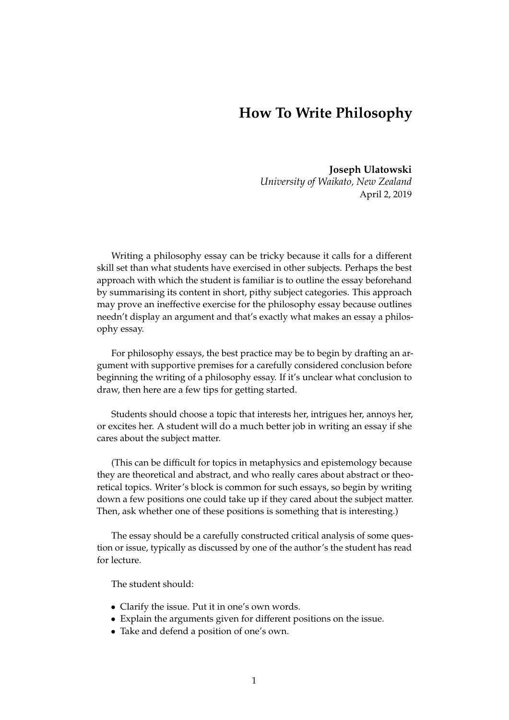## **How To Write Philosophy**

**Joseph Ulatowski** *University of Waikato, New Zealand* April 2, 2019

Writing a philosophy essay can be tricky because it calls for a different skill set than what students have exercised in other subjects. Perhaps the best approach with which the student is familiar is to outline the essay beforehand by summarising its content in short, pithy subject categories. This approach may prove an ineffective exercise for the philosophy essay because outlines needn't display an argument and that's exactly what makes an essay a philosophy essay.

For philosophy essays, the best practice may be to begin by drafting an argument with supportive premises for a carefully considered conclusion before beginning the writing of a philosophy essay. If it's unclear what conclusion to draw, then here are a few tips for getting started.

Students should choose a topic that interests her, intrigues her, annoys her, or excites her. A student will do a much better job in writing an essay if she cares about the subject matter.

(This can be difficult for topics in metaphysics and epistemology because they are theoretical and abstract, and who really cares about abstract or theoretical topics. Writer's block is common for such essays, so begin by writing down a few positions one could take up if they cared about the subject matter. Then, ask whether one of these positions is something that is interesting.)

The essay should be a carefully constructed critical analysis of some question or issue, typically as discussed by one of the author's the student has read for lecture.

The student should:

- Clarify the issue. Put it in one's own words.
- Explain the arguments given for different positions on the issue.
- Take and defend a position of one's own.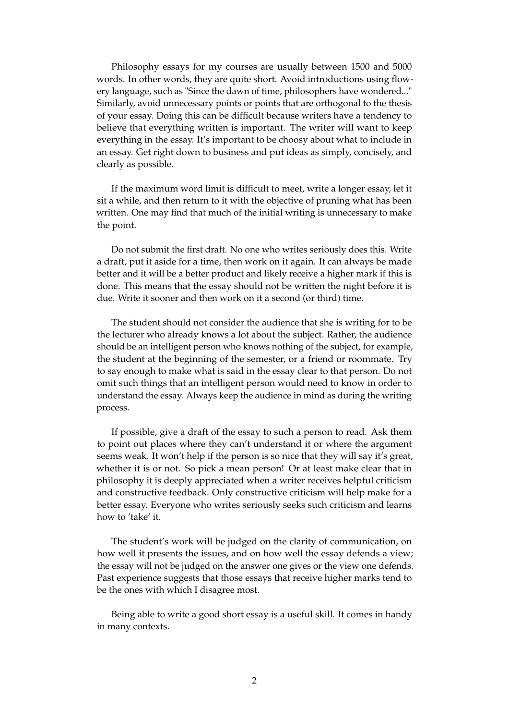Philosophy essays for my courses are usually between 1500 and 5000 words. In other words, they are quite short. Avoid introductions using flowery language, such as "Since the dawn of time, philosophers have wondered..." Similarly, avoid unnecessary points or points that are orthogonal to the thesis of your essay. Doing this can be difficult because writers have a tendency to believe that everything written is important. The writer will want to keep everything in the essay. It's important to be choosy about what to include in an essay. Get right down to business and put ideas as simply, concisely, and clearly as possible.

If the maximum word limit is difficult to meet, write a longer essay, let it sit a while, and then return to it with the objective of pruning what has been written. One may find that much of the initial writing is unnecessary to make the point.

Do not submit the first draft. No one who writes seriously does this. Write a draft, put it aside for a time, then work on it again. It can always be made better and it will be a better product and likely receive a higher mark if this is done. This means that the essay should not be written the night before it is due. Write it sooner and then work on it a second (or third) time.

The student should not consider the audience that she is writing for to be the lecturer who already knows a lot about the subject. Rather, the audience should be an intelligent person who knows nothing of the subject, for example, the student at the beginning of the semester, or a friend or roommate. Try to say enough to make what is said in the essay clear to that person. Do not omit such things that an intelligent person would need to know in order to understand the essay. Always keep the audience in mind as during the writing process.

If possible, give a draft of the essay to such a person to read. Ask them to point out places where they can't understand it or where the argument seems weak. It won't help if the person is so nice that they will say it's great, whether it is or not. So pick a mean person! Or at least make clear that in philosophy it is deeply appreciated when a writer receives helpful criticism and constructive feedback. Only constructive criticism will help make for a better essay. Everyone who writes seriously seeks such criticism and learns how to 'take' it.

The student's work will be judged on the clarity of communication, on how well it presents the issues, and on how well the essay defends a view; the essay will not be judged on the answer one gives or the view one defends. Past experience suggests that those essays that receive higher marks tend to be the ones with which I disagree most.

Being able to write a good short essay is a useful skill. It comes in handy in many contexts.